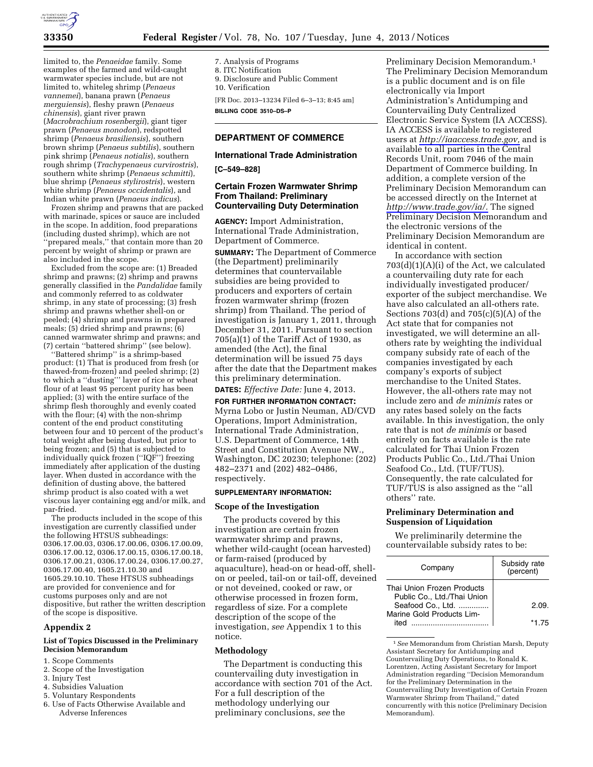

limited to, the *Penaeidae* family. Some examples of the farmed and wild-caught warmwater species include, but are not limited to, whiteleg shrimp (*Penaeus vannemei*), banana prawn (*Penaeus merguiensis*), fleshy prawn (*Penaeus chinensis*), giant river prawn (*Macrobrachium rosenbergii*), giant tiger prawn (*Penaeus monodon*), redspotted shrimp (*Penaeus brasiliensis*), southern brown shrimp (*Penaeus subtilis*), southern pink shrimp (*Penaeus notialis*), southern rough shrimp (*Trachypenaeus curvirostris*), southern white shrimp (*Penaeus schmitti*), blue shrimp (*Penaeus stylirostris*), western white shrimp (*Penaeus occidentalis*), and Indian white prawn (*Penaeus indicus*).

Frozen shrimp and prawns that are packed with marinade, spices or sauce are included in the scope. In addition, food preparations (including dusted shrimp), which are not ''prepared meals,'' that contain more than 20 percent by weight of shrimp or prawn are also included in the scope.

Excluded from the scope are: (1) Breaded shrimp and prawns; (2) shrimp and prawns generally classified in the *Pandalidae* family and commonly referred to as coldwater shrimp, in any state of processing; (3) fresh shrimp and prawns whether shell-on or peeled; (4) shrimp and prawns in prepared meals; (5) dried shrimp and prawns; (6) canned warmwater shrimp and prawns; and (7) certain ''battered shrimp'' (see below).

''Battered shrimp'' is a shrimp-based product: (1) That is produced from fresh (or thawed-from-frozen) and peeled shrimp; (2) to which a ''dusting''' layer of rice or wheat flour of at least 95 percent purity has been applied; (3) with the entire surface of the shrimp flesh thoroughly and evenly coated with the flour; (4) with the non-shrimp content of the end product constituting between four and 10 percent of the product's total weight after being dusted, but prior to being frozen; and (5) that is subjected to individually quick frozen (''IQF'') freezing immediately after application of the dusting layer. When dusted in accordance with the definition of dusting above, the battered shrimp product is also coated with a wet viscous layer containing egg and/or milk, and par-fried.

The products included in the scope of this investigation are currently classified under the following HTSUS subheadings: 0306.17.00.03, 0306.17.00.06, 0306.17.00.09, 0306.17.00.12, 0306.17.00.15, 0306.17.00.18, 0306.17.00.21, 0306.17.00.24, 0306.17.00.27, 0306.17.00.40, 1605.21.10.30 and 1605.29.10.10. These HTSUS subheadings are provided for convenience and for customs purposes only and are not dispositive, but rather the written description of the scope is dispositive.

# **Appendix 2**

#### **List of Topics Discussed in the Preliminary Decision Memorandum**

- 1. Scope Comments
- 2. Scope of the Investigation
- 3. Injury Test
- 4. Subsidies Valuation
- 5. Voluntary Respondents
- 6. Use of Facts Otherwise Available and Adverse Inferences

7. Analysis of Programs 8. ITC Notification 9. Disclosure and Public Comment 10. Verification [FR Doc. 2013–13234 Filed 6–3–13; 8:45 am] **BILLING CODE 3510–DS–P** 

### **DEPARTMENT OF COMMERCE**

### **International Trade Administration**

**[C–549–828]** 

# **Certain Frozen Warmwater Shrimp From Thailand: Preliminary Countervailing Duty Determination**

**AGENCY:** Import Administration, International Trade Administration, Department of Commerce.

**SUMMARY:** The Department of Commerce (the Department) preliminarily determines that countervailable subsidies are being provided to producers and exporters of certain frozen warmwater shrimp (frozen shrimp) from Thailand. The period of investigation is January 1, 2011, through December 31, 2011. Pursuant to section 705(a)(1) of the Tariff Act of 1930, as amended (the Act), the final determination will be issued 75 days after the date that the Department makes this preliminary determination.

# **DATES:** *Effective Date:* June 4, 2013.

**FOR FURTHER INFORMATION CONTACT:**  Myrna Lobo or Justin Neuman, AD/CVD Operations, Import Administration, International Trade Administration, U.S. Department of Commerce, 14th Street and Constitution Avenue NW., Washington, DC 20230; telephone: (202) 482–2371 and (202) 482–0486, respectively.

#### **SUPPLEMENTARY INFORMATION:**

#### **Scope of the Investigation**

The products covered by this investigation are certain frozen warmwater shrimp and prawns, whether wild-caught (ocean harvested) or farm-raised (produced by aquaculture), head-on or head-off, shellon or peeled, tail-on or tail-off, deveined or not deveined, cooked or raw, or otherwise processed in frozen form, regardless of size. For a complete description of the scope of the investigation, *see* Appendix 1 to this notice.

#### **Methodology**

The Department is conducting this countervailing duty investigation in accordance with section 701 of the Act. For a full description of the methodology underlying our preliminary conclusions, *see* the

Preliminary Decision Memorandum.1 The Preliminary Decision Memorandum is a public document and is on file electronically via Import Administration's Antidumping and Countervailing Duty Centralized Electronic Service System (IA ACCESS). IA ACCESS is available to registered users at *[http://iaaccess.trade.gov,](http://iaaccess.trade.gov)* and is available to all parties in the Central Records Unit, room 7046 of the main Department of Commerce building. In addition, a complete version of the Preliminary Decision Memorandum can be accessed directly on the Internet at *[http://www.trade.gov/ia/.](http://www.trade.gov/ia/)* The signed Preliminary Decision Memorandum and the electronic versions of the Preliminary Decision Memorandum are identical in content.

In accordance with section 703(d)(1)(A)(i) of the Act, we calculated a countervailing duty rate for each individually investigated producer/ exporter of the subject merchandise. We have also calculated an all-others rate. Sections  $703(d)$  and  $705(c)(5)(A)$  of the Act state that for companies not investigated, we will determine an allothers rate by weighting the individual company subsidy rate of each of the companies investigated by each company's exports of subject merchandise to the United States. However, the all-others rate may not include zero and *de minimis* rates or any rates based solely on the facts available. In this investigation, the only rate that is not *de minimis* or based entirely on facts available is the rate calculated for Thai Union Frozen Products Public Co., Ltd./Thai Union Seafood Co., Ltd. (TUF/TUS). Consequently, the rate calculated for TUF/TUS is also assigned as the ''all others'' rate.

### **Preliminary Determination and Suspension of Liquidation**

We preliminarily determine the countervailable subsidy rates to be:

| Company                                                                        | Subsidy rate<br>(percent) |
|--------------------------------------------------------------------------------|---------------------------|
| Thai Union Frozen Products<br>Public Co., Ltd./Thai Union<br>Seafood Co., Ltd. | 2.09                      |
| Marine Gold Products Lim-<br>hati                                              | *1 75                     |

1*See* Memorandum from Christian Marsh, Deputy Assistant Secretary for Antidumping and Countervailing Duty Operations, to Ronald K. Lorentzen, Acting Assistant Secretary for Import Administration regarding ''Decision Memorandum for the Preliminary Determination in the Countervailing Duty Investigation of Certain Frozen Warmwater Shrimp from Thailand,'' dated concurrently with this notice (Preliminary Decision Memorandum).